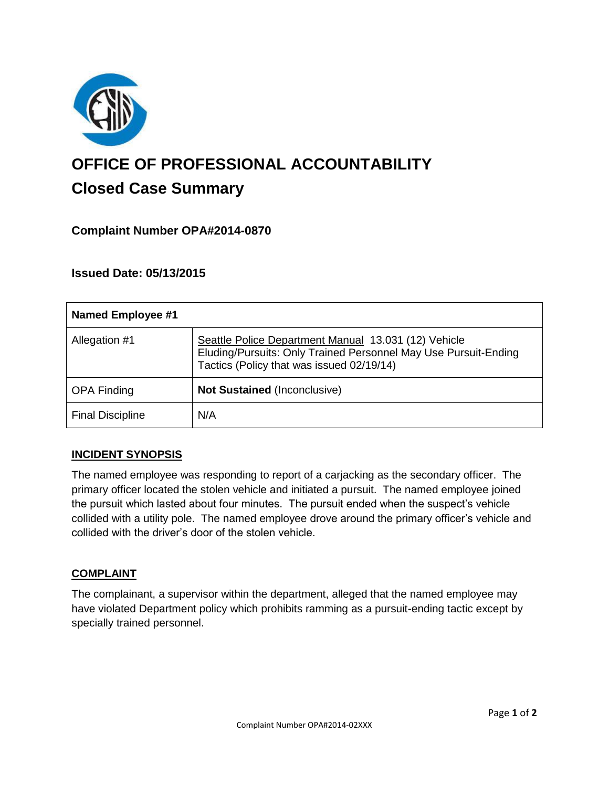

# **OFFICE OF PROFESSIONAL ACCOUNTABILITY Closed Case Summary**

# **Complaint Number OPA#2014-0870**

# **Issued Date: 05/13/2015**

| Named Employee #1       |                                                                                                                                                                      |
|-------------------------|----------------------------------------------------------------------------------------------------------------------------------------------------------------------|
| Allegation #1           | Seattle Police Department Manual 13.031 (12) Vehicle<br>Eluding/Pursuits: Only Trained Personnel May Use Pursuit-Ending<br>Tactics (Policy that was issued 02/19/14) |
| <b>OPA Finding</b>      | <b>Not Sustained (Inconclusive)</b>                                                                                                                                  |
| <b>Final Discipline</b> | N/A                                                                                                                                                                  |

### **INCIDENT SYNOPSIS**

The named employee was responding to report of a carjacking as the secondary officer. The primary officer located the stolen vehicle and initiated a pursuit. The named employee joined the pursuit which lasted about four minutes. The pursuit ended when the suspect's vehicle collided with a utility pole. The named employee drove around the primary officer's vehicle and collided with the driver's door of the stolen vehicle.

#### **COMPLAINT**

The complainant, a supervisor within the department, alleged that the named employee may have violated Department policy which prohibits ramming as a pursuit-ending tactic except by specially trained personnel.